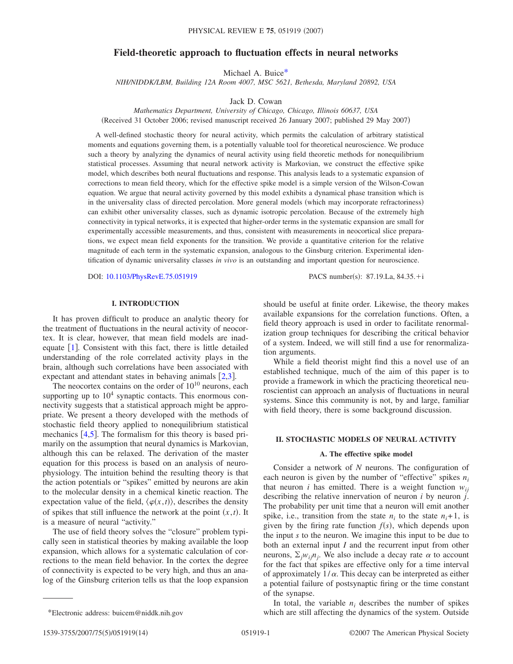# **Field-theoretic approach to fluctuation effects in neural networks**

Michael A. Buic[e\\*](#page-0-0)

*NIH/NIDDK/LBM, Building 12A Room 4007, MSC 5621, Bethesda, Maryland 20892, USA*

Jack D. Cowan

*Mathematics Department, University of Chicago, Chicago, Illinois 60637, USA*

(Received 31 October 2006; revised manuscript received 26 January 2007; published 29 May 2007)

A well-defined stochastic theory for neural activity, which permits the calculation of arbitrary statistical moments and equations governing them, is a potentially valuable tool for theoretical neuroscience. We produce such a theory by analyzing the dynamics of neural activity using field theoretic methods for nonequilibrium statistical processes. Assuming that neural network activity is Markovian, we construct the effective spike model, which describes both neural fluctuations and response. This analysis leads to a systematic expansion of corrections to mean field theory, which for the effective spike model is a simple version of the Wilson-Cowan equation. We argue that neural activity governed by this model exhibits a dynamical phase transition which is in the universality class of directed percolation. More general models (which may incorporate refractoriness) can exhibit other universality classes, such as dynamic isotropic percolation. Because of the extremely high connectivity in typical networks, it is expected that higher-order terms in the systematic expansion are small for experimentally accessible measurements, and thus, consistent with measurements in neocortical slice preparations, we expect mean field exponents for the transition. We provide a quantitative criterion for the relative magnitude of each term in the systematic expansion, analogous to the Ginsburg criterion. Experimental identification of dynamic universality classes *in vivo* is an outstanding and important question for neuroscience.

DOI: [10.1103/PhysRevE.75.051919](http://dx.doi.org/10.1103/PhysRevE.75.051919)

PACS number(s):  $87.19.La$ ,  $84.35.+i$ 

# **I. INTRODUCTION**

It has proven difficult to produce an analytic theory for the treatment of fluctuations in the neural activity of neocortex. It is clear, however, that mean field models are inadequate  $[1]$  $[1]$  $[1]$ . Consistent with this fact, there is little detailed understanding of the role correlated activity plays in the brain, although such correlations have been associated with expectant and attendant states in behaving animals  $[2,3]$  $[2,3]$  $[2,3]$  $[2,3]$ .

The neocortex contains on the order of  $10^{10}$  neurons, each supporting up to  $10<sup>4</sup>$  synaptic contacts. This enormous connectivity suggests that a statistical approach might be appropriate. We present a theory developed with the methods of stochastic field theory applied to nonequilibrium statistical mechanics  $[4,5]$  $[4,5]$  $[4,5]$  $[4,5]$ . The formalism for this theory is based primarily on the assumption that neural dynamics is Markovian, although this can be relaxed. The derivation of the master equation for this process is based on an analysis of neurophysiology. The intuition behind the resulting theory is that the action potentials or "spikes" emitted by neurons are akin to the molecular density in a chemical kinetic reaction. The expectation value of the field,  $\langle \varphi(x,t) \rangle$ , describes the density of spikes that still influence the network at the point  $(x, t)$ . It is a measure of neural "activity."

The use of field theory solves the "closure" problem typically seen in statistical theories by making available the loop expansion, which allows for a systematic calculation of corrections to the mean field behavior. In the cortex the degree of connectivity is expected to be very high, and thus an analog of the Ginsburg criterion tells us that the loop expansion should be useful at finite order. Likewise, the theory makes available expansions for the correlation functions. Often, a field theory approach is used in order to facilitate renormalization group techniques for describing the critical behavior of a system. Indeed, we will still find a use for renormalization arguments.

While a field theorist might find this a novel use of an established technique, much of the aim of this paper is to provide a framework in which the practicing theoretical neuroscientist can approach an analysis of fluctuations in neural systems. Since this community is not, by and large, familiar with field theory, there is some background discussion.

### **II. STOCHASTIC MODELS OF NEURAL ACTIVITY**

### **A. The effective spike model**

Consider a network of *N* neurons. The configuration of each neuron is given by the number of "effective" spikes  $n_i$ that neuron *i* has emitted. There is a weight function  $w_{ij}$ describing the relative innervation of neuron *i* by neuron *j*. The probability per unit time that a neuron will emit another spike, i.e., transition from the state  $n_i$  to the state  $n_i+1$ , is given by the firing rate function  $f(s)$ , which depends upon the input *s* to the neuron. We imagine this input to be due to both an external input *I* and the recurrent input from other neurons,  $\Sigma_i w_{i,i} n_i$ . We also include a decay rate  $\alpha$  to account for the fact that spikes are effective only for a time interval of approximately  $1/\alpha$ . This decay can be interpreted as either a potential failure of postsynaptic firing or the time constant of the synapse.

<span id="page-0-0"></span>In total, the variable  $n_i$  describes the number of spikes \*Electronic address: buicem@niddk.nih.gov which are still affecting the dynamics of the system. Outside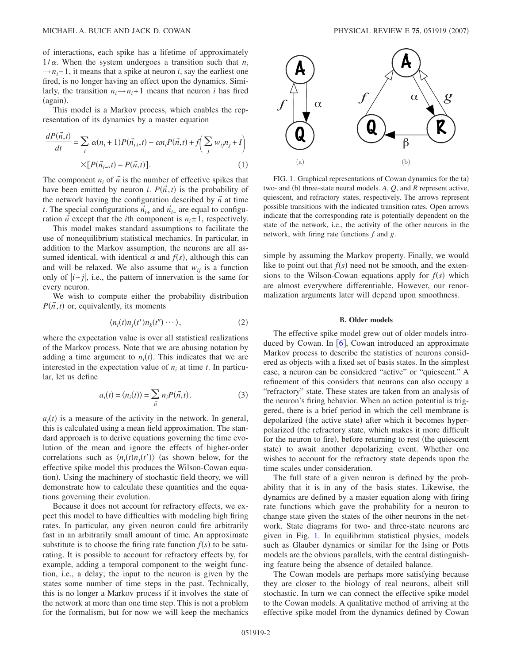of interactions, each spike has a lifetime of approximately  $1/\alpha$ . When the system undergoes a transition such that  $n_i$  $\rightarrow$ *n<sub>i</sub>*−1, it means that a spike at neuron *i*, say the earliest one fired, is no longer having an effect upon the dynamics. Similarly, the transition  $n_i \rightarrow n_i + 1$  means that neuron *i* has fired (again).

This model is a Markov process, which enables the representation of its dynamics by a master equation

<span id="page-1-1"></span>
$$
\frac{dP(\vec{n},t)}{dt} = \sum_{i} \alpha(n_i+1)P(\vec{n}_{i+},t) - \alpha n_i P(\vec{n},t) + f\left(\sum_{j} w_{ij} n_j + I\right)
$$

$$
\times [P(\vec{n}_{i-},t) - P(\vec{n},t)].
$$
\n(1)

The component  $n_i$  of  $\vec{n}$  is the number of effective spikes that have been emitted by neuron *i*.  $P(\vec{n},t)$  is the probability of the network having the configuration described by  $\vec{n}$  at time *t*. The special configurations  $\vec{n}_{i+}$  and  $\vec{n}_{i-}$  are equal to configuration  $\vec{n}$  except that the *i*th component is  $n_i \pm 1$ , respectively.

This model makes standard assumptions to facilitate the use of nonequilibrium statistical mechanics. In particular, in addition to the Markov assumption, the neurons are all assumed identical, with identical  $\alpha$  and  $f(s)$ , although this can and will be relaxed. We also assume that  $w_{ij}$  is a function only of  $|i-j|$ , i.e., the pattern of innervation is the same for every neuron.

We wish to compute either the probability distribution  $P(\vec{n},t)$  or, equivalently, its moments

$$
\langle n_i(t)n_j(t')n_k(t'')\cdots\rangle,\tag{2}
$$

where the expectation value is over all statistical realizations of the Markov process. Note that we are abusing notation by adding a time argument to  $n_i(t)$ . This indicates that we are interested in the expectation value of *ni* at time *t*. In particular, let us define

$$
a_i(t) = \langle n_i(t) \rangle = \sum_{\vec{n}} n_i P(\vec{n}, t).
$$
 (3)

 $a_i(t)$  is a measure of the activity in the network. In general, this is calculated using a mean field approximation. The standard approach is to derive equations governing the time evolution of the mean and ignore the effects of higher-order correlations such as  $\langle n_i(t) n_j(t') \rangle$  (as shown below, for the effective spike model this produces the Wilson-Cowan equation). Using the machinery of stochastic field theory, we will demonstrate how to calculate these quantities and the equations governing their evolution.

Because it does not account for refractory effects, we expect this model to have difficulties with modeling high firing rates. In particular, any given neuron could fire arbitrarily fast in an arbitrarily small amount of time. An approximate substitute is to choose the firing rate function  $f(s)$  to be saturating. It is possible to account for refractory effects by, for example, adding a temporal component to the weight function, i.e., a delay; the input to the neuron is given by the states some number of time steps in the past. Technically, this is no longer a Markov process if it involves the state of the network at more than one time step. This is not a problem for the formalism, but for now we will keep the mechanics

<span id="page-1-0"></span>

FIG. 1. Graphical representations of Cowan dynamics for the (a) two- and (b) three-state neural models. A, Q, and R represent active, quiescent, and refractory states, respectively. The arrows represent possible transitions with the indicated transition rates. Open arrows indicate that the corresponding rate is potentially dependent on the state of the network, i.e., the activity of the other neurons in the network, with firing rate functions *f* and *g*.

simple by assuming the Markov property. Finally, we would like to point out that  $f(s)$  need not be smooth, and the extensions to the Wilson-Cowan equations apply for  $f(s)$  which are almost everywhere differentiable. However, our renormalization arguments later will depend upon smoothness.

#### **B. Older models**

The effective spike model grew out of older models introduced by Cowan. In  $\lceil 6 \rceil$  $\lceil 6 \rceil$  $\lceil 6 \rceil$ , Cowan introduced an approximate Markov process to describe the statistics of neurons considered as objects with a fixed set of basis states. In the simplest case, a neuron can be considered "active" or "quiescent." A refinement of this considers that neurons can also occupy a "refractory" state. These states are taken from an analysis of the neuron's firing behavior. When an action potential is triggered, there is a brief period in which the cell membrane is depolarized (the active state) after which it becomes hyperpolarized (the refractory state, which makes it more difficult for the neuron to fire), before returning to rest (the quiescent state) to await another depolarizing event. Whether one wishes to account for the refractory state depends upon the time scales under consideration.

The full state of a given neuron is defined by the probability that it is in any of the basis states. Likewise, the dynamics are defined by a master equation along with firing rate functions which gave the probability for a neuron to change state given the states of the other neurons in the network. State diagrams for two- and three-state neurons are given in Fig. [1.](#page-1-0) In equilibrium statistical physics, models such as Glauber dynamics or similar for the Ising or Potts models are the obvious parallels, with the central distinguishing feature being the absence of detailed balance.

The Cowan models are perhaps more satisfying because they are closer to the biology of real neurons, albeit still stochastic. In turn we can connect the effective spike model to the Cowan models. A qualitative method of arriving at the effective spike model from the dynamics defined by Cowan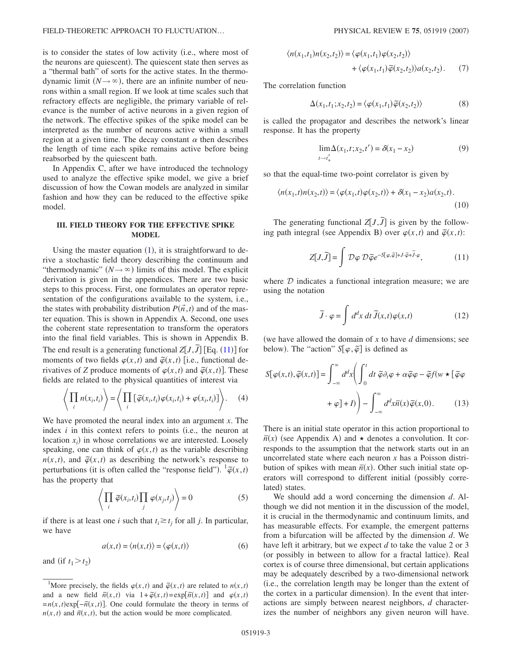is to consider the states of low activity (i.e., where most of the neurons are quiescent). The quiescent state then serves as a "thermal bath" of sorts for the active states. In the thermodynamic limit  $(N \rightarrow \infty)$ , there are an infinite number of neurons within a small region. If we look at time scales such that refractory effects are negligible, the primary variable of relevance is the number of active neurons in a given region of the network. The effective spikes of the spike model can be interpreted as the number of neurons active within a small region at a given time. The decay constant  $\alpha$  then describes the length of time each spike remains active before being reabsorbed by the quiescent bath.

In Appendix C, after we have introduced the technology used to analyze the effective spike model, we give a brief discussion of how the Cowan models are analyzed in similar fashion and how they can be reduced to the effective spike model.

## **III. FIELD THEORY FOR THE EFFECTIVE SPIKE MODEL**

Using the master equation  $(1)$  $(1)$  $(1)$ , it is straightforward to derive a stochastic field theory describing the continuum and "thermodynamic"  $(N \rightarrow \infty)$  limits of this model. The explicit derivation is given in the appendices. There are two basic steps to this process. First, one formulates an operator representation of the configurations available to the system, i.e., the states with probability distribution  $P(\vec{n},t)$  and of the master equation. This is shown in Appendix A. Second, one uses the coherent state representation to transform the operators into the final field variables. This is shown in Appendix B. The end result is a generating functional  $Z[J,\tilde{J}]$  [Eq. ([11](#page-2-0))] for moments of two fields  $\varphi(x,t)$  and  $\tilde{\varphi}(x,t)$  [i.e., functional derivatives of *Z* produce moments of  $\varphi(x,t)$  and  $\tilde{\varphi}(x,t)$ ]. These fields are related to the physical quantities of interest via

$$
\left\langle \prod_i n(x_i, t_i) \right\rangle = \left\langle \prod_i \left[ \widetilde{\varphi}(x_i, t_i) \varphi(x_i, t_i) + \varphi(x_i, t_i) \right] \right\rangle. \tag{4}
$$

We have promoted the neural index into an argument *x*. The index  $i$  in this context refers to points (i.e., the neuron at location  $x_i$ ) in whose correlations we are interested. Loosely speaking, one can think of  $\varphi(x, t)$  as the variable describing  $n(x,t)$ , and  $\tilde{\varphi}(x,t)$  as describing the network's response to perturbations (it is often called the "response field").  ${}^{1}\tilde{\varphi}(x,t)$ has the property that

$$
\left\langle \prod_{i} \widetilde{\varphi}(x_i, t_i) \prod_{j} \varphi(x_j, t_j) \right\rangle = 0 \tag{5}
$$

<span id="page-2-1"></span>if there is at least one *i* such that  $t_i \geq t_j$  for all *j*. In particular, we have

$$
a(x,t) = \langle n(x,t) \rangle = \langle \varphi(x,t) \rangle \tag{6}
$$

and (if  $t_1 > t_2$ )

$$
\langle n(x_1, t_1)n(x_2, t_2) \rangle = \langle \varphi(x_1, t_1)\varphi(x_2, t_2) \rangle + \langle \varphi(x_1, t_1)\widetilde{\varphi}(x_2, t_2) \rangle a(x_2, t_2).
$$
 (7)

The correlation function

$$
\Delta(x_1, t_1; x_2, t_2) = \langle \varphi(x_1, t_1) \widetilde{\varphi}(x_2, t_2) \rangle \tag{8}
$$

is called the propagator and describes the network's linear response. It has the property

$$
\lim_{t \to t'_+} \Delta(x_1, t; x_2, t') = \delta(x_1 - x_2)
$$
\n(9)

so that the equal-time two-point correlator is given by

$$
\langle n(x_1,t)n(x_2,t)\rangle = \langle \varphi(x_1,t)\varphi(x_2,t)\rangle + \delta(x_1 - x_2)a(x_2,t).
$$
\n(10)

<span id="page-2-0"></span>The generating functional  $Z[J,\tilde{J}]$  is given by the following path integral (see Appendix B) over  $\varphi(x, t)$  and  $\tilde{\varphi}(x, t)$ :

$$
Z[J,\widetilde{J}] = \int \mathcal{D}\varphi \, \mathcal{D}\widetilde{\varphi}e^{-S[\varphi,\widetilde{\varphi}]+J\cdot\widetilde{\varphi}+\widetilde{J}\cdot\varphi},\tag{11}
$$

where  $D$  indicates a functional integration measure; we are using the notation

$$
\widetilde{J} \cdot \varphi = \int d^d x \, dt \, \widetilde{J}(x, t) \varphi(x, t) \tag{12}
$$

we have allowed the domain of *x* to have *d* dimensions; see below). The "action"  $S[\varphi, \tilde{\varphi}]$  is defined as

<span id="page-2-2"></span>
$$
S[\varphi(x,t), \tilde{\varphi}(x,t)] = \int_{-\infty}^{\infty} d^d x \left( \int_0^t dt \; \tilde{\varphi} \partial_t \varphi + \alpha \tilde{\varphi} \varphi - \tilde{\varphi} f(w \star [\tilde{\varphi} \varphi + \varphi] + I) \right) - \int_{-\infty}^{\infty} d^d x \overline{n}(x) \tilde{\varphi}(x,0). \tag{13}
$$

There is an initial state operator in this action proportional to *n*(*x*) (see Appendix A) and  $\star$  denotes a convolution. It corresponds to the assumption that the network starts out in an uncorrelated state where each neuron *x* has a Poisson distribution of spikes with mean  $\bar{n}(x)$ . Other such initial state operators will correspond to different initial (possibly correlated) states.

We should add a word concerning the dimension *d*. Although we did not mention it in the discussion of the model, it is crucial in the thermodynamic and continuum limits, and has measurable effects. For example, the emergent patterns from a bifurcation will be affected by the dimension *d*. We have left it arbitrary, but we expect *d* to take the value 2 or 3 (or possibly in between to allow for a fractal lattice). Real cortex is of course three dimensional, but certain applications may be adequately described by a two-dimensional network i.e., the correlation length may be longer than the extent of the cortex in a particular dimension). In the event that interactions are simply between nearest neighbors, *d* characterizes the number of neighbors any given neuron will have.

<sup>&</sup>lt;sup>1</sup>More precisely, the fields  $\varphi(x,t)$  and  $\tilde{\varphi}(x,t)$  are related to  $n(x,t)$ and a new field  $\tilde{n}(x,t)$  via  $1+\tilde{\varphi}(x,t)=\exp[\tilde{n}(x,t)]$  and  $\varphi(x,t)$  $=n(x,t) \exp[-\tilde{n}(x,t)]$ . One could formulate the theory in terms of  $n(x,t)$  and  $\tilde{n}(x,t)$ , but the action would be more complicated.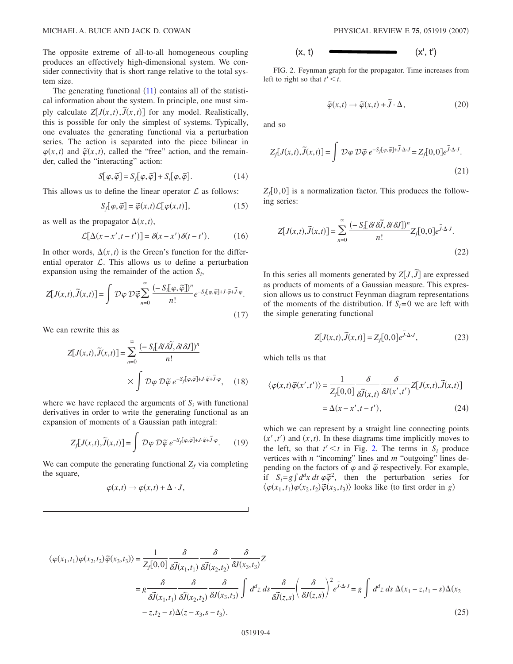The opposite extreme of all-to-all homogeneous coupling produces an effectively high-dimensional system. We consider connectivity that is short range relative to the total system size.

The generating functional  $(11)$  $(11)$  $(11)$  contains all of the statistical information about the system. In principle, one must simply calculate  $Z[J(x, t), \tilde{J}(x, t)]$  for any model. Realistically, this is possible for only the simplest of systems. Typically, one evaluates the generating functional via a perturbation series. The action is separated into the piece bilinear in  $\varphi(x,t)$  and  $\tilde{\varphi}(x,t)$ , called the "free" action, and the remainder, called the "interacting" action:

$$
S[\varphi, \tilde{\varphi}] = S_f[\varphi, \tilde{\varphi}] + S_i[\varphi, \tilde{\varphi}].
$$
 (14)

This allows us to define the linear operator  $\mathcal L$  as follows:

$$
S_f[\varphi, \tilde{\varphi}] = \tilde{\varphi}(x, t) \mathcal{L}[\varphi(x, t)], \qquad (15)
$$

as well as the propagator  $\Delta(x, t)$ ,

$$
\mathcal{L}[\Delta(x - x', t - t')] = \delta(x - x')\delta(t - t'). \tag{16}
$$

In other words,  $\Delta(x, t)$  is the Green's function for the differential operator  $\mathcal{L}$ . This allows us to define a perturbation expansion using the remainder of the action  $S_i$ ,

$$
Z[J(x,t),\tilde{J}(x,t)] = \int \mathcal{D}\varphi \, \mathcal{D}\tilde{\varphi} \sum_{n=0}^{\infty} \frac{(-S_i[\varphi,\tilde{\varphi}])^n}{n!} e^{-S_f[\varphi,\tilde{\varphi}]+J\cdot\tilde{\varphi}+\tilde{J}\cdot\varphi}.
$$
\n(17)

We can rewrite this as

$$
Z[J(x,t),\tilde{J}(x,t)] = \sum_{n=0}^{\infty} \frac{(-S_i[\delta/\delta\tilde{J},\delta/\delta J])^n}{n!}
$$

$$
\times \int \mathcal{D}\varphi \mathcal{D}\tilde{\varphi} e^{-S_f[\varphi,\tilde{\varphi}]+J\cdot\tilde{\varphi}+\tilde{J}\cdot\varphi}, \quad (18)
$$

where we have replaced the arguments of  $S_i$  with functional derivatives in order to write the generating functional as an expansion of moments of a Gaussian path integral:

$$
Z_f[J(x,t),\tilde{J}(x,t)] = \int \mathcal{D}\varphi \,\mathcal{D}\tilde{\varphi} \, e^{-S_f[\varphi,\tilde{\varphi}]+J\cdot\tilde{\varphi}+\tilde{J}\cdot\varphi}.\tag{19}
$$

We can compute the generating functional  $Z_f$  via completing the square,

$$
\varphi(x,t)\to\varphi(x,t)+\Delta\cdot J,
$$

$$
(x, t) \qquad \qquad (x', t')
$$

<span id="page-3-0"></span>FIG. 2. Feynman graph for the propagator. Time increases from left to right so that  $t' \leq t$ .

$$
\tilde{\varphi}(x,t) \to \tilde{\varphi}(x,t) + \tilde{J} \cdot \Delta, \qquad (20)
$$

and so

$$
Z_f[J(x,t),\tilde{J}(x,t)] = \int \mathcal{D}\varphi \,\mathcal{D}\tilde{\varphi} \, e^{-S_f[\varphi,\tilde{\varphi}]+\tilde{J}\cdot\Delta \cdot J} = Z_f[0,0]e^{\tilde{J}\cdot\Delta \cdot J}.
$$
\n(21)

 $Z_f[0,0]$  is a normalization factor. This produces the following series:

<span id="page-3-1"></span>
$$
Z[J(x,t),\tilde{J}(x,t)] = \sum_{n=0}^{\infty} \frac{(-S_i[\delta/\delta\tilde{J},\delta/\delta J])^n}{n!} Z_f[0,0] e^{\tilde{J}\cdot\Delta J}.
$$
\n(22)

In this series all moments generated by  $Z[J,\tilde{J}]$  are expressed as products of moments of a Gaussian measure. This expression allows us to construct Feynman diagram representations of the moments of the distribution. If  $S_i = 0$  we are left with the simple generating functional

$$
Z[J(x,t),\tilde{J}(x,t)] = Z_f[0,0]e^{\tilde{j}\cdot\Delta J},\qquad(23)
$$

which tells us that

$$
\langle \varphi(x,t)\tilde{\varphi}(x',t') \rangle = \frac{1}{Z_f[0,0]} \frac{\delta}{\delta \tilde{J}(x,t)} \frac{\delta}{\delta J(x',t')} Z[J(x,t), \tilde{J}(x,t)]
$$

$$
= \Delta(x-x',t-t'), \tag{24}
$$

which we can represent by a straight line connecting points  $(x', t')$  and  $(x, t)$ . In these diagrams time implicitly moves to the left, so that  $t' < t$  in Fig. [2.](#page-3-0) The terms in  $S_i$  produce vertices with *n* "incoming" lines and *m* "outgoing" lines depending on the factors of  $\varphi$  and  $\tilde{\varphi}$  respectively. For example, if  $S_i = g \int d^d x \, dt \, \varphi \, \widetilde{\varphi}^2$ , then the perturbation series for  $\langle \varphi(x_1, t_1) \varphi(x_2, t_2) \tilde{\varphi}(x_3, t_3) \rangle$  looks like (to first order in *g*)

$$
\langle \varphi(x_1, t_1) \varphi(x_2, t_2) \tilde{\varphi}(x_3, t_3) \rangle = \frac{1}{Z_f[0, 0]} \frac{\delta}{\delta \tilde{J}(x_1, t_1)} \frac{\delta}{\delta \tilde{J}(x_2, t_2)} \frac{\delta}{\delta J(x_3, t_3)} Z
$$
  
\n
$$
= g \frac{\delta}{\delta \tilde{J}(x_1, t_1)} \frac{\delta}{\delta \tilde{J}(x_2, t_2)} \frac{\delta}{\delta J(x_3, t_3)} \int d^d z \, ds \frac{\delta}{\delta \tilde{J}(z, s)} \left(\frac{\delta}{\delta J(z, s)}\right)^2 e^{\tilde{j} \cdot \Delta \cdot J} = g \int d^d z \, ds \, \Delta(x_1 - z, t_1 - s) \Delta(x_2 - z, t_2 - s) \Delta(z - x_3, s - t_3). \tag{25}
$$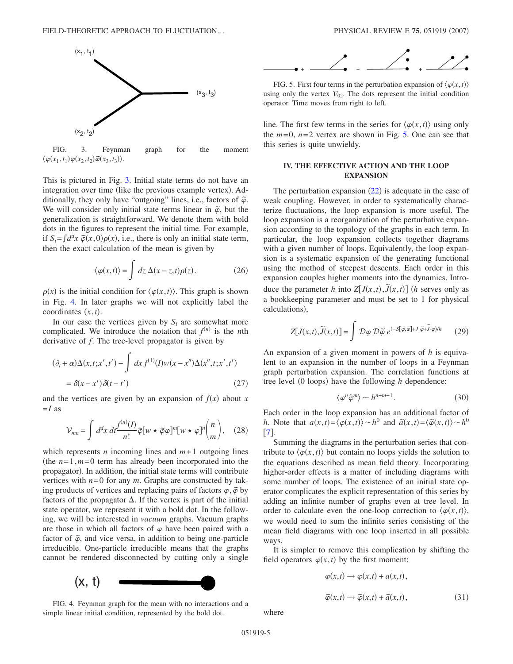<span id="page-4-0"></span>

FIG. 3. Feynman graph for the moment  $\langle \varphi(x_1,t_1) \varphi(x_2,t_2) \widetilde{\varphi}(x_3,t_3) \rangle.$ 

This is pictured in Fig. [3.](#page-4-0) Initial state terms do not have an integration over time (like the previous example vertex). Additionally, they only have "outgoing" lines, i.e., factors of  $\tilde{\varphi}$ . We will consider only initial state terms linear in  $\tilde{\varphi}$ , but the generalization is straightforward. We denote them with bold dots in the figures to represent the initial time. For example, if  $S_i = \int d^d x \ \tilde{\varphi}(x,0) \rho(x)$ , i.e., there is only an initial state term, then the exact calculation of the mean is given by

$$
\langle \varphi(x,t) \rangle = \int dz \, \Delta(x-z,t) \rho(z). \tag{26}
$$

 $\rho(x)$  is the initial condition for  $\langle \varphi(x,t) \rangle$ . This graph is shown in Fig. [4.](#page-4-1) In later graphs we will not explicitly label the coordinates  $(x, t)$ .

In our case the vertices given by  $S_i$  are somewhat more complicated. We introduce the notation that  $f^{(n)}$  is the *n*th derivative of *f*. The tree-level propagator is given by

$$
(\partial_t + \alpha) \Delta(x, t; x', t') - \int dx f^{(1)}(I) w(x - x'') \Delta(x'', t; x', t')
$$
  
=  $\delta(x - x') \delta(t - t')$  (27)

<span id="page-4-3"></span>and the vertices are given by an expansion of  $f(x)$  about  $x$  $=I$  as

$$
\mathcal{V}_{mn} = \int d^d x \, dt \frac{f^{(n)}(I)}{n!} \widetilde{\varphi}[w \star \widetilde{\varphi} \varphi]^m [w \star \varphi]^n \binom{n}{m}, \quad (28)
$$

which represents  $n$  incoming lines and  $m+1$  outgoing lines (the  $n=1$ , $m=0$  term has already been incorporated into the propagator). In addition, the initial state terms will contribute vertices with  $n=0$  for any  $m$ . Graphs are constructed by taking products of vertices and replacing pairs of factors  $\varphi$ ,  $\tilde{\varphi}$  by factors of the propagator  $\Delta$ . If the vertex is part of the initial state operator, we represent it with a bold dot. In the following, we will be interested in *vacuum* graphs. Vacuum graphs are those in which all factors of  $\varphi$  have been paired with a factor of  $\tilde{\varphi}$ , and vice versa, in addition to being one-particle irreducible. One-particle irreducible means that the graphs cannot be rendered disconnected by cutting only a single

<span id="page-4-1"></span>

PHYSICAL REVIEW E 75, 051919 (2007)

<span id="page-4-2"></span>

FIG. 5. First four terms in the perturbation expansion of  $\langle \varphi(x, t) \rangle$ using only the vertex  $V_{02}$ . The dots represent the initial condition operator. Time moves from right to left.

line. The first few terms in the series for  $\langle \varphi(x,t) \rangle$  using only the  $m=0$ ,  $n=2$  vertex are shown in Fig. [5.](#page-4-2) One can see that this series is quite unwieldy.

## **IV. THE EFFECTIVE ACTION AND THE LOOP EXPANSION**

The perturbation expansion  $(22)$  $(22)$  $(22)$  is adequate in the case of weak coupling. However, in order to systematically characterize fluctuations, the loop expansion is more useful. The loop expansion is a reorganization of the perturbative expansion according to the topology of the graphs in each term. In particular, the loop expansion collects together diagrams with a given number of loops. Equivalently, the loop expansion is a systematic expansion of the generating functional using the method of steepest descents. Each order in this expansion couples higher moments into the dynamics. Introduce the parameter *h* into  $Z[J(x,t), \tilde{J}(x,t)]$  (*h* serves only as a bookkeeping parameter and must be set to 1 for physical calculations),

$$
Z[J(x,t),\tilde{J}(x,t)] = \int \mathcal{D}\varphi \,\mathcal{D}\tilde{\varphi} \, e^{(-S[\varphi,\tilde{\varphi}]+J\cdot\tilde{\varphi}+\tilde{J}\cdot\varphi)/h} \qquad (29)
$$

An expansion of a given moment in powers of *h* is equivalent to an expansion in the number of loops in a Feynman graph perturbation expansion. The correlation functions at tree level (0 loops) have the following *h* dependence:

$$
\langle \varphi^n \tilde{\varphi}^m \rangle \sim h^{n+m-1}.\tag{30}
$$

Each order in the loop expansion has an additional factor of *h*. Note that  $a(x,t) = \langle \varphi(x,t) \rangle \sim h^0$  and  $\tilde{a}(x,t) = \langle \tilde{\varphi}(x,t) \rangle \sim h^0$  $[7]$  $[7]$  $[7]$ .

Summing the diagrams in the perturbation series that contribute to  $\langle \varphi(x,t) \rangle$  but contain no loops yields the solution to the equations described as mean field theory. Incorporating higher-order effects is a matter of including diagrams with some number of loops. The existence of an initial state operator complicates the explicit representation of this series by adding an infinite number of graphs even at tree level. In order to calculate even the one-loop correction to  $\langle \varphi(x,t) \rangle$ , we would need to sum the infinite series consisting of the mean field diagrams with one loop inserted in all possible ways.

It is simpler to remove this complication by shifting the field operators  $\varphi(x, t)$  by the first moment:

$$
\varphi(x,t) \to \varphi(x,t) + a(x,t),
$$
  

$$
\tilde{\varphi}(x,t) \to \tilde{\varphi}(x,t) + \tilde{a}(x,t),
$$
 (31)

where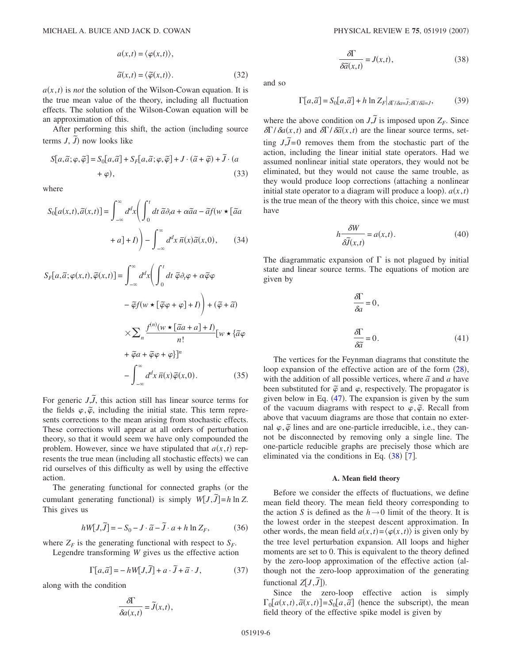$$
a(x,t) = \langle \varphi(x,t) \rangle,
$$
  

$$
\tilde{a}(x,t) = \langle \tilde{\varphi}(x,t) \rangle.
$$
 (32)

 $a(x, t)$  is *not* the solution of the Wilson-Cowan equation. It is the true mean value of the theory, including all fluctuation effects. The solution of the Wilson-Cowan equation will be an approximation of this.

After performing this shift, the action (including source terms  $J$ ,  $\tilde{J}$ ) now looks like

$$
S[a,\tilde{a};\varphi,\tilde{\varphi}] = S_0[a,\tilde{a}] + S_F[a,\tilde{a};\varphi,\tilde{\varphi}] + J \cdot (\tilde{a} + \tilde{\varphi}) + \tilde{J} \cdot (a + \varphi),
$$
\n(33)

where

$$
S_0[a(x,t),\tilde{a}(x,t)] = \int_{-\infty}^{\infty} d^d x \left( \int_0^t dt \, \tilde{a}\partial_t a + \alpha \tilde{a}a - \tilde{a}f(w \star [\tilde{a}a + a] + t) \right) - \int_{-\infty}^{\infty} d^d x \, \bar{n}(x)\tilde{a}(x,0), \qquad (34)
$$

$$
S_F[a,\tilde{a};\varphi(x,t),\tilde{\varphi}(x,t)] = \int_{-\infty}^{\infty} d^d x \left( \int_0^t dt \; \tilde{\varphi} \partial_t \varphi + \alpha \tilde{\varphi} \varphi \right)
$$

$$
- \tilde{\varphi} f(w \star [\tilde{\varphi}\varphi + \varphi] + I) \Bigg) + (\tilde{\varphi} + \tilde{a})
$$

$$
\times \sum_n \frac{f^{(n)}(w \star [\tilde{a}a + a] + I)}{n!} [w \star \{\tilde{a}\varphi
$$

$$
+ \tilde{\varphi}a + \tilde{\varphi}\varphi + \varphi\}]^n
$$

$$
- \int_{-\infty}^{\infty} d^d x \; \overline{n}(x) \tilde{\varphi}(x,0). \tag{35}
$$

For generic  $J,\tilde{J}$ , this action still has linear source terms for the fields  $\varphi$ ,  $\tilde{\varphi}$ , including the initial state. This term represents corrections to the mean arising from stochastic effects. These corrections will appear at all orders of perturbation theory, so that it would seem we have only compounded the problem. However, since we have stipulated that  $a(x, t)$  represents the true mean (including all stochastic effects) we can rid ourselves of this difficulty as well by using the effective action.

The generating functional for connected graphs (or the cumulant generating functional) is simply  $W[J,\tilde{J}] = h \ln Z$ . This gives us

$$
hW[J,\widetilde{J}] = -S_0 - J \cdot \widetilde{a} - \widetilde{J} \cdot a + h \ln Z_F, \tag{36}
$$

where  $Z_F$  is the generating functional with respect to  $S_F$ .

Legendre transforming *W* gives us the effective action

$$
\Gamma[a,\tilde{a}] = -hW[J,\tilde{J}] + a \cdot \tilde{J} + \tilde{a} \cdot J,
$$
 (37)

<span id="page-5-0"></span>along with the condition

$$
\frac{\delta \Gamma}{\delta a(x,t)} = \widetilde{J}(x,t),
$$

$$
\frac{\delta \Gamma}{\delta \tilde{a}(x,t)} = J(x,t),\tag{38}
$$

and so

$$
\Gamma[a,\tilde{a}] = S_0[a,\tilde{a}] + h \ln Z_F|_{\delta\Gamma/\delta a = \tilde{J};\delta\Gamma/\delta\tilde{a} = J},
$$
 (39)

where the above condition on  $J$ , $\tilde{J}$  is imposed upon  $Z_F$ . Since  $\delta\Gamma/\delta a(x,t)$  and  $\delta\Gamma/\delta\tilde{a}(x,t)$  are the linear source terms, setting  $J\tilde{J}=0$  removes them from the stochastic part of the action, including the linear initial state operators. Had we assumed nonlinear initial state operators, they would not be eliminated, but they would not cause the same trouble, as they would produce loop corrections (attaching a nonlinear initial state operator to a diagram will produce a loop).  $a(x, t)$ is the true mean of the theory with this choice, since we must have

$$
h\frac{\delta W}{\delta \tilde{J}(x,t)} = a(x,t). \tag{40}
$$

The diagrammatic expansion of  $\Gamma$  is not plagued by initial state and linear source terms. The equations of motion are given by

$$
\frac{\delta \Gamma}{\delta a} = 0,
$$
  

$$
\frac{\delta \Gamma}{\delta \tilde{a}} = 0.
$$
 (41)

The vertices for the Feynman diagrams that constitute the loop expansion of the effective action are of the form ([28](#page-4-3)), with the addition of all possible vertices, where  $\tilde{a}$  and *a* have been substituted for  $\tilde{\varphi}$  and  $\varphi$ , respectively. The propagator is given below in Eq.  $(47)$  $(47)$  $(47)$ . The expansion is given by the sum of the vacuum diagrams with respect to  $\varphi$ ,  $\tilde{\varphi}$ . Recall from above that vacuum diagrams are those that contain no exter- $\phi$ ,  $\tilde{\varphi}$  lines and are one-particle irreducible, i.e., they cannot be disconnected by removing only a single line. The one-particle reducible graphs are precisely those which are eliminated via the conditions in Eq.  $(38)$  $(38)$  $(38)$  [[7](#page-13-6)].

### **A. Mean field theory**

Before we consider the effects of fluctuations, we define mean field theory. The mean field theory corresponding to the action *S* is defined as the  $h \rightarrow 0$  limit of the theory. It is the lowest order in the steepest descent approximation. In other words, the mean field  $a(x,t) = \langle \varphi(x,t) \rangle$  is given only by the tree level perturbation expansion. All loops and higher moments are set to 0. This is equivalent to the theory defined by the zero-loop approximation of the effective action (although not the zero-loop approximation of the generating functional  $Z[J,\tilde{J}]$ ).

Since the zero-loop effective action is simply  $\Gamma_0[a(x,t), \tilde{a}(x,t)] = S_0[a, \tilde{a}]$  (hence the subscript), the mean field theory of the effective spike model is given by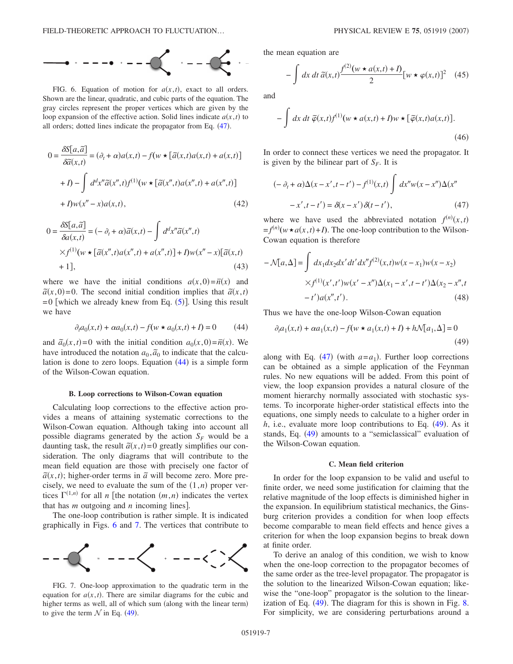<span id="page-6-2"></span>

FIG. 6. Equation of motion for  $a(x, t)$ , exact to all orders. Shown are the linear, quadratic, and cubic parts of the equation. The gray circles represent the proper vertices which are given by the loop expansion of the effective action. Solid lines indicate  $a(x, t)$  to all orders; dotted lines indicate the propagator from Eq. ([47](#page-6-0)).

$$
0 = \frac{\delta S[a, \tilde{a}]}{\delta \tilde{a}(x, t)} = (\partial_t + \alpha)a(x, t) - f(w \star [\tilde{a}(x, t)a(x, t) + a(x, t)]
$$

$$
+ I) - \int d^d x'' \tilde{a}(x'', t) f^{(1)}(w \star [\tilde{a}(x'', t)a(x'', t) + a(x'', t)]
$$

$$
+ I) w(x'' - x) a(x, t), \qquad (42)
$$

$$
0 = \frac{\delta S[a,\tilde{a}]}{\delta a(x,t)} = (-\partial_t + \alpha)\tilde{a}(x,t) - \int d^d x'' \tilde{a}(x'',t)
$$
  
 
$$
\times f^{(1)}(w \star [\tilde{a}(x'',t)a(x'',t) + a(x'',t)] + I)w(x'' - x)[\tilde{a}(x,t)
$$
  
+ 1], (43)

where we have the initial conditions  $a(x, 0) = \overline{n}(x)$  and  $\tilde{a}(x,0) = 0$ . The second initial condition implies that  $\tilde{a}(x,t)$  $= 0$  [which we already knew from Eq.  $(5)$  $(5)$  $(5)$ ]. Using this result we have

$$
\partial_t a_0(x,t) + \alpha a_0(x,t) - f(w \star a_0(x,t) + I) = 0 \tag{44}
$$

<span id="page-6-1"></span>and  $\tilde{a}_0(x,t) = 0$  with the initial condition  $a_0(x,0) = \overline{n}(x)$ . We have introduced the notation  $a_0$ ,  $\tilde{a}_0$  to indicate that the calcu-lation is done to zero loops. Equation ([44](#page-6-1)) is a simple form of the Wilson-Cowan equation.

#### **B. Loop corrections to Wilson-Cowan equation**

Calculating loop corrections to the effective action provides a means of attaining systematic corrections to the Wilson-Cowan equation. Although taking into account all possible diagrams generated by the action  $S_F$  would be a daunting task, the result  $\tilde{a}(x,t) = 0$  greatly simplifies our consideration. The only diagrams that will contribute to the mean field equation are those with precisely one factor of  $\tilde{a}(x,t)$ ; higher-order terms in  $\tilde{a}$  will become zero. More precisely, we need to evaluate the sum of the  $(1, n)$  proper vertices  $\Gamma^{(1,n)}$  for all *n* [the notation  $(m, n)$  indicates the vertex that has  *outgoing and*  $*n*$  *incoming lines.* 

The one-loop contribution is rather simple. It is indicated graphically in Figs. [6](#page-6-2) and [7.](#page-6-3) The vertices that contribute to

<span id="page-6-3"></span>

FIG. 7. One-loop approximation to the quadratic term in the equation for  $a(x, t)$ . There are similar diagrams for the cubic and higher terms as well, all of which sum (along with the linear term) to give the term  $\mathcal N$  in Eq. ([49](#page-6-4)).

the mean equation are

$$
-\int dx\,dt\,\widetilde{a}(x,t)\frac{f^{(2)}(w\star a(x,t)+I)}{2}[w\star\varphi(x,t)]^{2}\quad(45)
$$

and

$$
-\int dx\,dt\,\tilde{\varphi}(x,t)f^{(1)}(w\star a(x,t)+I)w\star[\tilde{\varphi}(x,t)a(x,t)].
$$
\n(46)

In order to connect these vertices we need the propagator. It is given by the bilinear part of  $S_F$ . It is

<span id="page-6-0"></span>
$$
(-\partial_t + \alpha)\Delta(x - x', t - t') - f^{(1)}(x, t) \int dx''w(x - x'')\Delta(x'' - x', t - t') = \delta(x - x')\delta(t - t'),
$$
\n(47)

where we have used the abbreviated notation  $f^{(n)}(x,t)$  $=f^{(n)}(w \star a(x,t)+I)$ . The one-loop contribution to the Wilson-Cowan equation is therefore

<span id="page-6-5"></span>
$$
-\mathcal{N}[a,\Delta] = \int dx_1 dx_2 dx' dt' dx'' f^{(2)}(x,t) w(x - x_1) w(x - x_2)
$$
  
 
$$
\times f^{(1)}(x',t') w(x' - x'') \Delta(x_1 - x',t - t') \Delta(x_2 - x'',t - t') a(x'',t').
$$
  
(48)

<span id="page-6-4"></span>Thus we have the one-loop Wilson-Cowan equation

$$
\partial_t a_1(x,t) + \alpha a_1(x,t) - f(w \star a_1(x,t) + I) + h \mathcal{N}[a_1, \Delta] = 0
$$
\n(49)

along with Eq. ([47](#page-6-0)) (with  $a=a_1$ ). Further loop corrections can be obtained as a simple application of the Feynman rules. No new equations will be added. From this point of view, the loop expansion provides a natural closure of the moment hierarchy normally associated with stochastic systems. To incorporate higher-order statistical effects into the equations, one simply needs to calculate to a higher order in h, i.e., evaluate more loop contributions to Eq. ([49](#page-6-4)). As it stands, Eq. ([49](#page-6-4)) amounts to a "semiclassical" evaluation of the Wilson-Cowan equation.

#### **C. Mean field criterion**

In order for the loop expansion to be valid and useful to finite order, we need some justification for claiming that the relative magnitude of the loop effects is diminished higher in the expansion. In equilibrium statistical mechanics, the Ginsburg criterion provides a condition for when loop effects become comparable to mean field effects and hence gives a criterion for when the loop expansion begins to break down at finite order.

To derive an analog of this condition, we wish to know when the one-loop correction to the propagator becomes of the same order as the tree-level propagator. The propagator is the solution to the linearized Wilson-Cowan equation; likewise the "one-loop" propagator is the solution to the linear-ization of Eq. ([49](#page-6-4)). The diagram for this is shown in Fig. [8.](#page-7-0) For simplicity, we are considering perturbations around a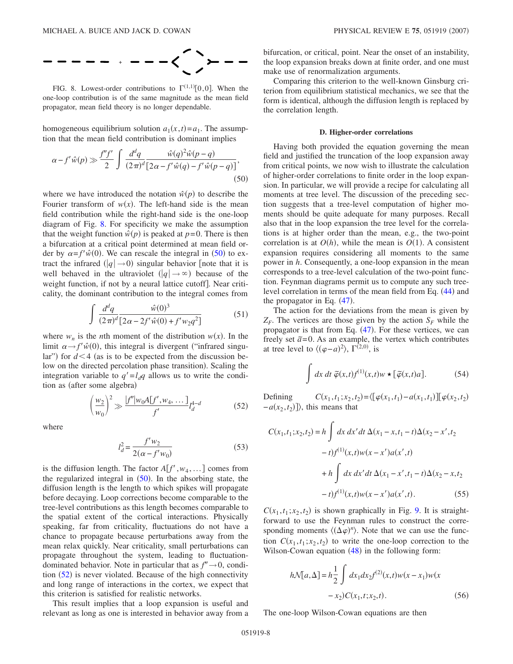<span id="page-7-0"></span>

FIG. 8. Lowest-order contributions to  $\Gamma^{(1,1)}[0,0]$ . When the one-loop contribution is of the same magnitude as the mean field propagator, mean field theory is no longer dependable.

homogeneous equilibrium solution  $a_1(x,t) = a_1$ . The assumption that the mean field contribution is dominant implies

<span id="page-7-1"></span>
$$
\alpha - f'\hat{w}(p) \gg \frac{f''f'}{2} \int \frac{d^d q}{(2\pi)^d} \frac{\hat{w}(q)^2 \hat{w}(p-q)}{[2\alpha - f'\hat{w}(q) - f'\hat{w}(p-q)]},\tag{50}
$$

where we have introduced the notation  $\hat{w}(p)$  to describe the Fourier transform of  $w(x)$ . The left-hand side is the mean field contribution while the right-hand side is the one-loop diagram of Fig. [8.](#page-7-0) For specificity we make the assumption that the weight function  $\hat{w}(p)$  is peaked at  $p=0$ . There is then a bifurcation at a critical point determined at mean field order by  $\alpha = f' \hat{w}(0)$ . We can rescale the integral in ([50](#page-7-1)) to extract the infrared  $(|q| \rightarrow 0)$  singular behavior [note that it is well behaved in the ultraviolet  $(|q| \rightarrow \infty)$  because of the weight function, if not by a neural lattice cutoff]. Near criticality, the dominant contribution to the integral comes from

$$
\int \frac{d^d q}{(2\pi)^d} \frac{\hat{w}(0)^3}{[2\alpha - 2f'\hat{w}(0) + f'w_2q^2]}
$$
(51)

where  $w_n$  is the *n*th moment of the distribution  $w(x)$ . In the limit  $\alpha \rightarrow f' \hat{w}(0)$ , this integral is divergent ("infrared singular") for  $d < 4$  (as is to be expected from the discussion below on the directed percolation phase transition). Scaling the integration variable to  $q' = l_d q$  allows us to write the condition as (after some algebra)

$$
\left(\frac{w_2}{w_0}\right)^2 \gg \frac{|f''|w_0A[f', w_4, \dots]}{f'} l_d^{4-d}
$$
 (52)

<span id="page-7-2"></span>where

$$
l_d^2 = \frac{f'w_2}{2(\alpha - f'w_0)}
$$
(53)

is the diffusion length. The factor  $A[f', w_4, \dots]$  comes from the regularized integral in  $(50)$  $(50)$  $(50)$ . In the absorbing state, the diffusion length is the length to which spikes will propagate before decaying. Loop corrections become comparable to the tree-level contributions as this length becomes comparable to the spatial extent of the cortical interactions. Physically speaking, far from criticality, fluctuations do not have a chance to propagate because perturbations away from the mean relax quickly. Near criticality, small perturbations can propagate throughout the system, leading to fluctuationdominated behavior. Note in particular that as  $f'' \rightarrow 0$ , condi-tion ([52](#page-7-2)) is never violated. Because of the high connectivity and long range of interactions in the cortex, we expect that this criterion is satisfied for realistic networks.

This result implies that a loop expansion is useful and relevant as long as one is interested in behavior away from a bifurcation, or critical, point. Near the onset of an instability, the loop expansion breaks down at finite order, and one must make use of renormalization arguments.

Comparing this criterion to the well-known Ginsburg criterion from equilibrium statistical mechanics, we see that the form is identical, although the diffusion length is replaced by the correlation length.

### **D. Higher-order correlations**

Having both provided the equation governing the mean field and justified the truncation of the loop expansion away from critical points, we now wish to illustrate the calculation of higher-order correlations to finite order in the loop expansion. In particular, we will provide a recipe for calculating all moments at tree level. The discussion of the preceding section suggests that a tree-level computation of higher moments should be quite adequate for many purposes. Recall also that in the loop expansion the tree level for the correlations is at higher order than the mean, e.g., the two-point correlation is at  $O(h)$ , while the mean is  $O(1)$ . A consistent expansion requires considering all moments to the same power in *h*. Consequently, a one-loop expansion in the mean corresponds to a tree-level calculation of the two-point function. Feynman diagrams permit us to compute any such tree-level correlation in terms of the mean field from Eq. ([44](#page-6-1)) and the propagator in Eq.  $(47)$  $(47)$  $(47)$ .

The action for the deviations from the mean is given by  $Z_F$ . The vertices are those given by the action  $S_F$  while the propagator is that from Eq.  $(47)$  $(47)$  $(47)$ . For these vertices, we can freely set  $\tilde{a}$ =0. As an example, the vertex which contributes at tree level to  $\langle (\varphi - a)^2 \rangle$ ,  $\Gamma^{(2,0)}$ , is

$$
\int dx dt \,\tilde{\varphi}(x,t)f^{(1)}(x,t)w \star [\tilde{\varphi}(x,t)a]. \tag{54}
$$

Defining  $C(x_1, t_1; x_2, t_2) = \langle [\varphi(x_1, t_1) - a(x_1, t_1)][\varphi(x_2, t_2)] \rangle$  $-a(x_2, t_2)$ ), this means that

$$
C(x_1, t_1; x_2, t_2) = h \int dx dx' dt \Delta(x_1 - x, t_1 - t) \Delta(x_2 - x', t_2 - t) f^{(1)}(x, t) w(x - x') a(x', t)
$$

$$
+ h \int dx dx' dt \Delta(x_1 - x', t_1 - t) \Delta(x_2 - x, t_2 - t) f^{(1)}(x, t) w(x - x') a(x', t).
$$
(55)

 $C(x_1, t_1; x_2, t_2)$  is shown graphically in Fig. [9.](#page-8-0) It is straightforward to use the Feynman rules to construct the corresponding moments  $\langle (\Delta \varphi)^n \rangle$ . Note that we can use the function  $C(x_1, t_1; x_2, t_2)$  to write the one-loop correction to the Wilson-Cowan equation  $(48)$  $(48)$  $(48)$  in the following form:

$$
h\mathcal{N}[a,\Delta] = h\frac{1}{2} \int dx_1 dx_2 f^{(2)}(x,t)w(x-x_1)w(x - x_2)C(x_1,t;x_2,t).
$$
 (56)

The one-loop Wilson-Cowan equations are then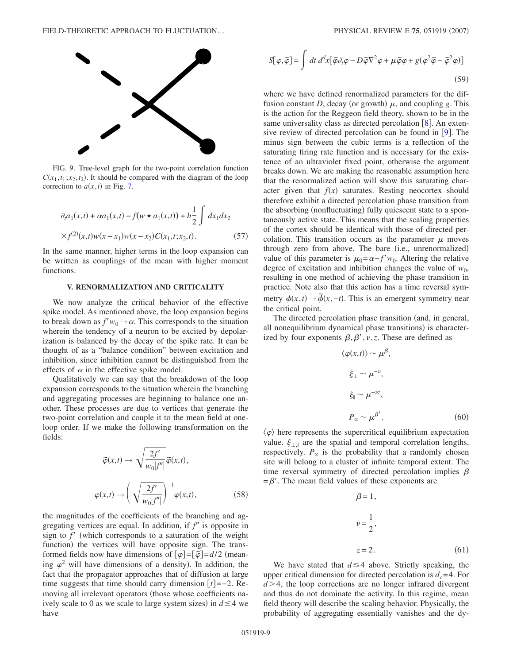<span id="page-8-0"></span>

FIG. 9. Tree-level graph for the two-point correlation function  $C(x_1, t_1; x_2, t_2)$ . It should be compared with the diagram of the loop correction to  $a(x, t)$  in Fig. [7.](#page-6-3)

$$
\partial_t a_1(x,t) + \alpha a_1(x,t) - f(w \star a_1(x,t)) + h \frac{1}{2} \int dx_1 dx_2
$$
  
 
$$
\times f^{(2)}(x,t)w(x-x_1)w(x-x_2)C(x_1,t;x_2,t).
$$
 (57)

In the same manner, higher terms in the loop expansion can be written as couplings of the mean with higher moment functions.

#### **V. RENORMALIZATION AND CRITICALITY**

We now analyze the critical behavior of the effective spike model. As mentioned above, the loop expansion begins to break down as  $f'w_0 \rightarrow \alpha$ . This corresponds to the situation wherein the tendency of a neuron to be excited by depolarization is balanced by the decay of the spike rate. It can be thought of as a "balance condition" between excitation and inhibition, since inhibition cannot be distinguished from the effects of  $\alpha$  in the effective spike model.

Qualitatively we can say that the breakdown of the loop expansion corresponds to the situation wherein the branching and aggregating processes are beginning to balance one another. These processes are due to vertices that generate the two-point correlation and couple it to the mean field at oneloop order. If we make the following transformation on the fields:

$$
\tilde{\varphi}(x,t) \to \sqrt{\frac{2f'}{w_0|f''|}} \tilde{\varphi}(x,t),
$$

$$
\varphi(x,t) \to \left(\sqrt{\frac{2f'}{w_0|f''|}}\right)^{-1} \varphi(x,t),
$$
(58)

the magnitudes of the coefficients of the branching and aggregating vertices are equal. In addition, if  $f''$  is opposite in sign to  $f'$  (which corresponds to a saturation of the weight function) the vertices will have opposite sign. The transformed fields now have dimensions of  $[\varphi]=[\tilde{\varphi}]=d/2$  (meaning  $\varphi^2$  will have dimensions of a density). In addition, the fact that the propagator approaches that of diffusion at large time suggests that time should carry dimension  $\lceil t \rceil$ =−2. Removing all irrelevant operators (those whose coefficients naively scale to 0 as we scale to large system sizes) in  $d \leq 4$  we have

$$
S[\varphi, \tilde{\varphi}] = \int dt \, d^d x [\tilde{\varphi} \partial_t \varphi - D \tilde{\varphi} \nabla^2 \varphi + \mu \tilde{\varphi} \varphi + g (\varphi^2 \tilde{\varphi} - \tilde{\varphi}^2 \varphi)] \tag{59}
$$

where we have defined renormalized parameters for the diffusion constant *D*, decay (or growth)  $\mu$ , and coupling *g*. This is the action for the Reggeon field theory, shown to be in the same universality class as directed percolation  $[8]$  $[8]$  $[8]$ . An extensive review of directed percolation can be found in  $[9]$  $[9]$  $[9]$ . The minus sign between the cubic terms is a reflection of the saturating firing rate function and is necessary for the existence of an ultraviolet fixed point, otherwise the argument breaks down. We are making the reasonable assumption here that the renormalized action will show this saturating character given that  $f(x)$  saturates. Resting neocortex should therefore exhibit a directed percolation phase transition from the absorbing (nonfluctuating) fully quiescent state to a spontaneously active state. This means that the scaling properties of the cortex should be identical with those of directed percolation. This transition occurs as the parameter  $\mu$  moves through zero from above. The bare (i.e., unrenormalized) value of this parameter is  $\mu_0 = \alpha - f'w_0$ . Altering the relative degree of excitation and inhibition changes the value of  $w_0$ , resulting in one method of achieving the phase transition in practice. Note also that this action has a time reversal symmetry  $\phi(x,t) \rightarrow \tilde{\phi}(x,-t)$ . This is an emergent symmetry near the critical point.

The directed percolation phase transition (and, in general, all nonequilibrium dynamical phase transitions) is characterized by four exponents  $\beta$ ,  $\beta'$ ,  $\nu$ ,  $z$ . These are defined as

$$
\langle \varphi(x,t) \rangle \sim \mu^{\beta},
$$
  
\n
$$
\xi_{\perp} \sim \mu^{-\nu},
$$
  
\n
$$
\xi_{\parallel} \sim \mu^{-\nu z},
$$
  
\n
$$
P_{\infty} \sim \mu^{\beta'}.
$$
 (60)

 $\langle \varphi \rangle$  here represents the supercritical equilibrium expectation value.  $\xi_{\perp\parallel}$  are the spatial and temporal correlation lengths, respectively.  $P_{\infty}$  is the probability that a randomly chosen site will belong to a cluster of infinite temporal extent. The time reversal symmetry of directed percolation implies  $\beta$  $=\beta'$ . The mean field values of these exponents are

$$
\beta = 1,
$$
  
\n
$$
\nu = \frac{1}{2},
$$
  
\n
$$
z = 2.
$$
 (61)

We have stated that  $d \leq 4$  above. Strictly speaking, the upper critical dimension for directed percolation is  $d_c = 4$ . For  $d > 4$ , the loop corrections are no longer infrared divergent and thus do not dominate the activity. In this regime, mean field theory will describe the scaling behavior. Physically, the probability of aggregating essentially vanishes and the dy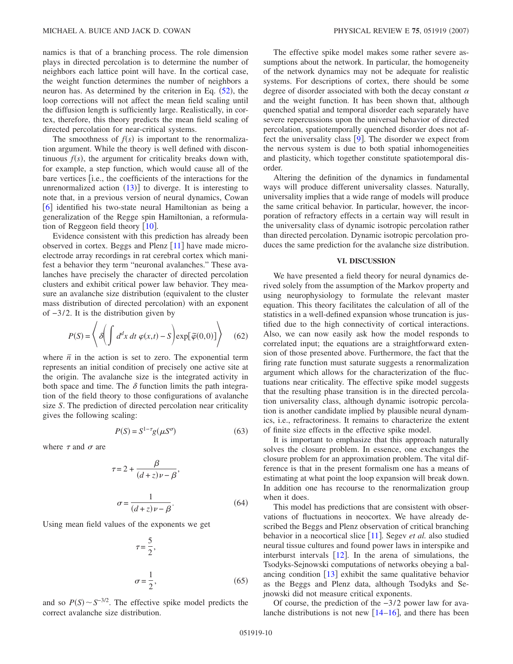namics is that of a branching process. The role dimension plays in directed percolation is to determine the number of neighbors each lattice point will have. In the cortical case, the weight function determines the number of neighbors a neuron has. As determined by the criterion in Eq.  $(52)$  $(52)$  $(52)$ , the loop corrections will not affect the mean field scaling until the diffusion length is sufficiently large. Realistically, in cortex, therefore, this theory predicts the mean field scaling of directed percolation for near-critical systems.

The smoothness of  $f(s)$  is important to the renormalization argument. While the theory is well defined with discontinuous  $f(s)$ , the argument for criticality breaks down with, for example, a step function, which would cause all of the bare vertices *i.e.*, the coefficients of the interactions for the unrenormalized action  $(13)$  $(13)$  $(13)$ ] to diverge. It is interesting to note that, in a previous version of neural dynamics, Cowan [[6](#page-13-5)] identified his two-state neural Hamiltonian as being a generalization of the Regge spin Hamiltonian, a reformulation of Reggeon field theory  $[10]$  $[10]$  $[10]$ .

Evidence consistent with this prediction has already been observed in cortex. Beggs and Plenz  $[11]$  $[11]$  $[11]$  have made microelectrode array recordings in rat cerebral cortex which manifest a behavior they term "neuronal avalanches." These avalanches have precisely the character of directed percolation clusters and exhibit critical power law behavior. They measure an avalanche size distribution (equivalent to the cluster mass distribution of directed percolation) with an exponent of  $-3/2$ . It is the distribution given by

$$
P(S) = \left\langle \delta \left( \int d^d x \, dt \, \varphi(x, t) - S \right) \exp[\tilde{\varphi}(0, 0)] \right\rangle \tag{62}
$$

where  $\bar{n}$  in the action is set to zero. The exponential term represents an initial condition of precisely one active site at the origin. The avalanche size is the integrated activity in both space and time. The  $\delta$  function limits the path integration of the field theory to those configurations of avalanche size *S*. The prediction of directed percolation near criticality gives the following scaling:

$$
P(S) = S^{1-\tau}g(\mu S^{\sigma})
$$
 (63)

where  $\tau$  and  $\sigma$  are

$$
\tau = 2 + \frac{\beta}{(d+z)\nu - \beta},
$$

$$
\sigma = \frac{1}{(d+z)\nu - \beta}.
$$
(64)

Using mean field values of the exponents we get

$$
\tau = \frac{5}{2},
$$
  
\n
$$
\sigma = \frac{1}{2},
$$
\n(65)

and so  $P(S) \sim S^{-3/2}$ . The effective spike model predicts the correct avalanche size distribution.

The effective spike model makes some rather severe assumptions about the network. In particular, the homogeneity of the network dynamics may not be adequate for realistic systems. For descriptions of cortex, there should be some degree of disorder associated with both the decay constant  $\alpha$ and the weight function. It has been shown that, although quenched spatial and temporal disorder each separately have severe repercussions upon the universal behavior of directed percolation, spatiotemporally quenched disorder does not affect the universality class  $[9]$  $[9]$  $[9]$ . The disorder we expect from the nervous system is due to both spatial inhomogeneities and plasticity, which together constitute spatiotemporal disorder.

Altering the definition of the dynamics in fundamental ways will produce different universality classes. Naturally, universality implies that a wide range of models will produce the same critical behavior. In particular, however, the incorporation of refractory effects in a certain way will result in the universality class of dynamic isotropic percolation rather than directed percolation. Dynamic isotropic percolation produces the same prediction for the avalanche size distribution.

#### **VI. DISCUSSION**

We have presented a field theory for neural dynamics derived solely from the assumption of the Markov property and using neurophysiology to formulate the relevant master equation. This theory facilitates the calculation of all of the statistics in a well-defined expansion whose truncation is justified due to the high connectivity of cortical interactions. Also, we can now easily ask how the model responds to correlated input; the equations are a straightforward extension of those presented above. Furthermore, the fact that the firing rate function must saturate suggests a renormalization argument which allows for the characterization of the fluctuations near criticality. The effective spike model suggests that the resulting phase transition is in the directed percolation universality class, although dynamic isotropic percolation is another candidate implied by plausible neural dynamics, i.e., refractoriness. It remains to characterize the extent of finite size effects in the effective spike model.

It is important to emphasize that this approach naturally solves the closure problem. In essence, one exchanges the closure problem for an approximation problem. The vital difference is that in the present formalism one has a means of estimating at what point the loop expansion will break down. In addition one has recourse to the renormalization group when it does.

This model has predictions that are consistent with observations of fluctuations in neocortex. We have already described the Beggs and Plenz observation of critical branching behavior in a neocortical slice [[11](#page-13-10)]. Segev *et al.* also studied neural tissue cultures and found power laws in interspike and interburst intervals  $\lceil 12 \rceil$  $\lceil 12 \rceil$  $\lceil 12 \rceil$ . In the arena of simulations, the Tsodyks-Sejnowski computations of networks obeying a balancing condition  $[13]$  $[13]$  $[13]$  exhibit the same qualitative behavior as the Beggs and Plenz data, although Tsodyks and Sejnowski did not measure critical exponents.

Of course, the prediction of the  $-3/2$  power law for avalanche distributions is not new  $[14–16]$  $[14–16]$  $[14–16]$  $[14–16]$ , and there has been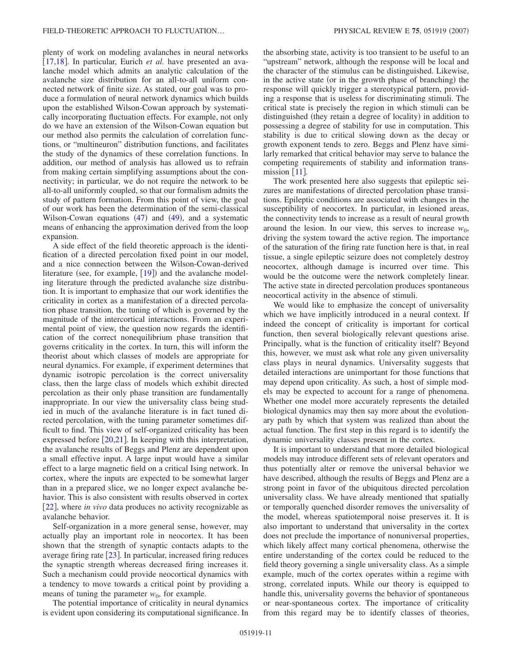plenty of work on modeling avalanches in neural networks [[17](#page-13-15)[,18](#page-13-16)]. In particular, Eurich *et al.* have presented an avalanche model which admits an analytic calculation of the avalanche size distribution for an all-to-all uniform connected network of finite size. As stated, our goal was to produce a formulation of neural network dynamics which builds upon the established Wilson-Cowan approach by systematically incorporating fluctuation effects. For example, not only do we have an extension of the Wilson-Cowan equation but our method also permits the calculation of correlation functions, or "multineuron" distribution functions, and facilitates the study of the dynamics of these correlation functions. In addition, our method of analysis has allowed us to refrain from making certain simplifying assumptions about the connectivity; in particular, we do not require the network to be all-to-all uniformly coupled, so that our formalism admits the study of pattern formation. From this point of view, the goal of our work has been the determination of the semi-classical Wilson-Cowan equations  $(47)$  $(47)$  $(47)$  and  $(49)$  $(49)$  $(49)$ , and a systematic means of enhancing the approximation derived from the loop expansion.

A side effect of the field theoretic approach is the identification of a directed percolation fixed point in our model, and a nice connection between the Wilson-Cowan-derived literature (see, for example,  $[19]$  $[19]$  $[19]$ ) and the avalanche modeling literature through the predicted avalanche size distribution. It is important to emphasize that our work identifies the criticality in cortex as a manifestation of a directed percolation phase transition, the tuning of which is governed by the magnitude of the intercortical interactions. From an experimental point of view, the question now regards the identification of the correct nonequilibrium phase transition that governs criticality in the cortex. In turn, this will inform the theorist about which classes of models are appropriate for neural dynamics. For example, if experiment determines that dynamic isotropic percolation is the correct universality class, then the large class of models which exhibit directed percolation as their only phase transition are fundamentally inappropriate. In our view the universality class being studied in much of the avalanche literature is in fact tuned directed percolation, with the tuning parameter sometimes difficult to find. This view of self-organized criticality has been expressed before  $\lfloor 20.21 \rfloor$  $\lfloor 20.21 \rfloor$  $\lfloor 20.21 \rfloor$ . In keeping with this interpretation, the avalanche results of Beggs and Plenz are dependent upon a small effective input. A large input would have a similar effect to a large magnetic field on a critical Ising network. In cortex, where the inputs are expected to be somewhat larger than in a prepared slice, we no longer expect avalanche behavior. This is also consistent with results observed in cortex [[22](#page-13-20)], where *in vivo* data produces no activity recognizable as avalanche behavior.

Self-organization in a more general sense, however, may actually play an important role in neocortex. It has been shown that the strength of synaptic contacts adapts to the average firing rate  $[23]$  $[23]$  $[23]$ . In particular, increased firing reduces the synaptic strength whereas decreased firing increases it. Such a mechanism could provide neocortical dynamics with a tendency to move towards a critical point by providing a means of tuning the parameter  $w_0$ , for example.

The potential importance of criticality in neural dynamics is evident upon considering its computational significance. In the absorbing state, activity is too transient to be useful to an "upstream" network, although the response will be local and the character of the stimulus can be distinguished. Likewise, in the active state (or in the growth phase of branching) the response will quickly trigger a stereotypical pattern, providing a response that is useless for discriminating stimuli. The critical state is precisely the region in which stimuli can be distinguished (they retain a degree of locality) in addition to possessing a degree of stability for use in computation. This stability is due to critical slowing down as the decay or growth exponent tends to zero. Beggs and Plenz have similarly remarked that critical behavior may serve to balance the competing requirements of stability and information transmission  $\lceil 11 \rceil$  $\lceil 11 \rceil$  $\lceil 11 \rceil$ .

The work presented here also suggests that epileptic seizures are manifestations of directed percolation phase transitions. Epileptic conditions are associated with changes in the susceptibility of neocortex. In particular, in lesioned areas, the connectivity tends to increase as a result of neural growth around the lesion. In our view, this serves to increase  $w_0$ , driving the system toward the active region. The importance of the saturation of the firing rate function here is that, in real tissue, a single epileptic seizure does not completely destroy neocortex, although damage is incurred over time. This would be the outcome were the network completely linear. The active state in directed percolation produces spontaneous neocortical activity in the absence of stimuli.

We would like to emphasize the concept of universality which we have implicitly introduced in a neural context. If indeed the concept of criticality is important for cortical function, then several biologically relevant questions arise. Principally, what is the function of criticality itself? Beyond this, however, we must ask what role any given universality class plays in neural dynamics. Universality suggests that detailed interactions are unimportant for those functions that may depend upon criticality. As such, a host of simple models may be expected to account for a range of phenomena. Whether one model more accurately represents the detailed biological dynamics may then say more about the evolutionary path by which that system was realized than about the actual function. The first step in this regard is to identify the dynamic universality classes present in the cortex.

It is important to understand that more detailed biological models may introduce different sets of relevant operators and thus potentially alter or remove the universal behavior we have described, although the results of Beggs and Plenz are a strong point in favor of the ubiquitous directed percolation universality class. We have already mentioned that spatially or temporally quenched disorder removes the universality of the model, whereas spatiotemporal noise preserves it. It is also important to understand that universality in the cortex does not preclude the importance of nonuniversal properties, which likely affect many cortical phenomena, otherwise the entire understanding of the cortex could be reduced to the field theory governing a single universality class. As a simple example, much of the cortex operates within a regime with strong, correlated inputs. While our theory is equipped to handle this, universality governs the behavior of spontaneous or near-spontaneous cortex. The importance of criticality from this regard may be to identify classes of theories,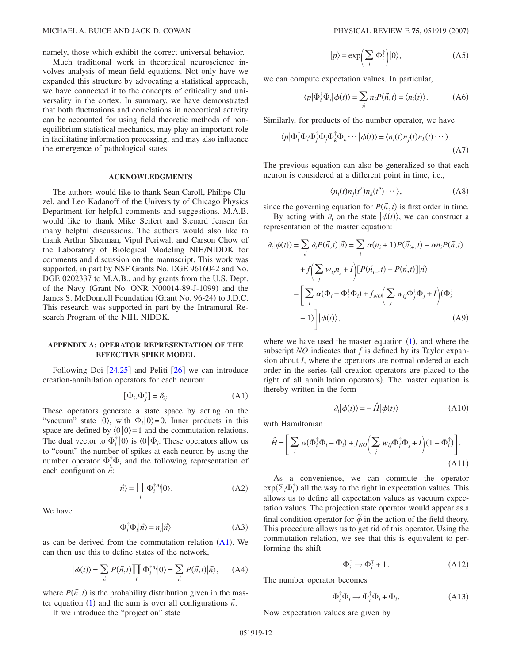namely, those which exhibit the correct universal behavior. Much traditional work in theoretical neuroscience in-

volves analysis of mean field equations. Not only have we expanded this structure by advocating a statistical approach, we have connected it to the concepts of criticality and universality in the cortex. In summary, we have demonstrated that both fluctuations and correlations in neocortical activity can be accounted for using field theoretic methods of nonequilibrium statistical mechanics, may play an important role in facilitating information processing, and may also influence the emergence of pathological states.

#### **ACKNOWLEDGMENTS**

The authors would like to thank Sean Caroll, Philipe Cluzel, and Leo Kadanoff of the University of Chicago Physics Department for helpful comments and suggestions. M.A.B. would like to thank Mike Seifert and Steuard Jensen for many helpful discussions. The authors would also like to thank Arthur Sherman, Vipul Periwal, and Carson Chow of the Laboratory of Biological Modeling NIH/NIDDK for comments and discussion on the manuscript. This work was supported, in part by NSF Grants No. DGE 9616042 and No. DGE 0202337 to M.A.B., and by grants from the U.S. Dept. of the Navy (Grant No. ONR N00014-89-J-1099) and the James S. McDonnell Foundation (Grant No. 96-24) to J.D.C. This research was supported in part by the Intramural Research Program of the NIH, NIDDK.

## **APPENDIX A: OPERATOR REPRESENTATION OF THE EFFECTIVE SPIKE MODEL**

Following Doi  $[24,25]$  $[24,25]$  $[24,25]$  $[24,25]$  and Peliti  $[26]$  $[26]$  $[26]$  we can introduce creation-annihilation operators for each neuron:

$$
[\Phi_i, \Phi_j^{\dagger}] = \delta_{ij} \tag{A1}
$$

<span id="page-11-0"></span>These operators generate a state space by acting on the "vacuum" state  $|0\rangle$ , with  $\Phi_i|0\rangle = 0$ . Inner products in this space are defined by  $\langle 0 | 0 \rangle = 1$  and the commutation relations. The dual vector to  $\Phi_i^{\dagger} |0\rangle$  is  $\langle 0|\Phi_i$ . These operators allow us to "count" the number of spikes at each neuron by using the number operator  $\Phi_i^{\dagger} \Phi_i$  and the following representation of each configuration *n*:

$$
|\vec{n}\rangle = \prod_{i} \Phi_i^{\dagger n_i} |0\rangle. \tag{A2}
$$

We have

$$
\Phi_i^{\dagger} \Phi_i | \vec{n} \rangle = n_i | \vec{n} \rangle \tag{A3}
$$

as can be derived from the commutation relation  $(A1)$  $(A1)$  $(A1)$ . We can then use this to define states of the network,

$$
|\phi(t)\rangle = \sum_{\vec{n}} P(\vec{n},t) \prod_{i} \Phi_i^{\dagger n_i} |0\rangle = \sum_{\vec{n}} P(\vec{n},t) |\vec{n}\rangle, \quad \text{(A4)}
$$

where  $P(\vec{n},t)$  is the probability distribution given in the master equation  $(1)$  $(1)$  $(1)$  and the sum is over all configurations  $\vec{n}$ .

If we introduce the "projection" state

$$
|p\rangle = \exp\left(\sum_{i} \Phi_{i}^{\dagger}\right)|0\rangle, \tag{A5}
$$

we can compute expectation values. In particular,

$$
\langle p|\Phi_i^{\dagger}\Phi_i|\phi(t)\rangle = \sum_{\vec{n}} n_i P(\vec{n},t) = \langle n_i(t)\rangle.
$$
 (A6)

Similarly, for products of the number operator, we have

$$
\langle p|\Phi_i^{\dagger}\Phi_i\Phi_j^{\dagger}\Phi_j\Phi_k^{\dagger}\Phi_k\cdots|\phi(t)\rangle = \langle n_i(t)n_j(t)n_k(t)\cdots\rangle.
$$
\n(A7)

The previous equation can also be generalized so that each neuron is considered at a different point in time, i.e.,

$$
\langle n_i(t)n_j(t')n_k(t'')\cdots\rangle,
$$
 (A8)

since the governing equation for  $P(\vec{n},t)$  is first order in time.

By acting with  $\partial_t$  on the state  $|\phi(t)\rangle$ , we can construct a representation of the master equation:

$$
\partial_t |\phi(t)\rangle = \sum_{\vec{n}} \partial_t P(\vec{n}, t) |\vec{n}\rangle = \sum_i \alpha(n_i + 1) P(\vec{n}_{i+}, t) - \alpha n_i P(\vec{n}, t)
$$

$$
+ f\left(\sum_j w_{ij} n_j + I\right) [P(\vec{n}_{i-}, t) - P(\vec{n}, t)] |\vec{n}\rangle
$$

$$
= \left[\sum_i \alpha(\Phi_i - \Phi_i^{\dagger} \Phi_i) + f_{NO} \left(\sum_j w_{ij} \Phi_j^{\dagger} \Phi_j + I\right) (\Phi_i^{\dagger} - 1) \right] |\phi(t)\rangle, \tag{A9}
$$

where we have used the master equation  $(1)$  $(1)$  $(1)$ , and where the subscript *NO* indicates that *f* is defined by its Taylor expansion about *I*, where the operators are normal ordered at each order in the series (all creation operators are placed to the right of all annihilation operators). The master equation is thereby written in the form

$$
\partial_t |\phi(t)\rangle = -\hat{H} |\phi(t)\rangle \tag{A10}
$$

<span id="page-11-1"></span>with Hamiltonian

$$
\hat{H} = \left[ \sum_{i} \alpha(\Phi_i^{\dagger} \Phi_i - \Phi_i) + f_{NO} \left( \sum_{j} w_{ij} \Phi_j^{\dagger} \Phi_j + I \right) (1 - \Phi_i^{\dagger}) \right].
$$
\n(A11)

As a convenience, we can commute the operator  $exp(\sum_i \Phi_i^{\dagger})$  all the way to the right in expectation values. This allows us to define all expectation values as vacuum expectation values. The projection state operator would appear as a final condition operator for  $\tilde{\phi}$  in the action of the field theory. This procedure allows us to get rid of this operator. Using the commutation relation, we see that this is equivalent to performing the shift

$$
\Phi_i^{\dagger} \to \Phi_i^{\dagger} + 1. \tag{A12}
$$

The number operator becomes

$$
\Phi_i^{\dagger} \Phi_i \to \Phi_i^{\dagger} \Phi_i + \Phi_i. \tag{A13}
$$

Now expectation values are given by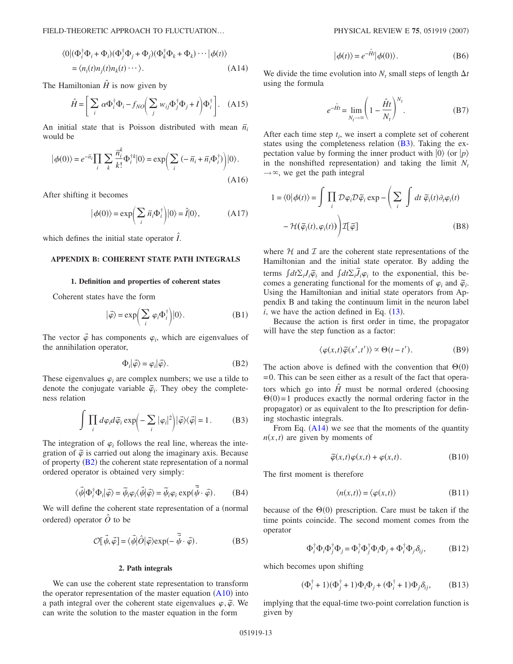<span id="page-12-1"></span>
$$
\langle 0 | (\Phi_i^{\dagger} \Phi_i + \Phi_i) (\Phi_j^{\dagger} \Phi_j + \Phi_j) (\Phi_k^{\dagger} \Phi_k + \Phi_k) \cdots | \phi(t) \rangle
$$
  
=  $\langle n_i(t) n_j(t) n_k(t) \cdots \rangle$ . (A14)

The Hamiltonian  $\hat{H}$  is now given by

$$
\hat{H} = \left[ \sum_{i} \alpha \Phi_{i}^{\dagger} \Phi_{i} - f_{NO} \left( \sum_{j} w_{ij} \Phi_{j}^{\dagger} \Phi_{j} + I \right) \Phi_{i}^{\dagger} \right].
$$
 (A15)

An initial state that is Poisson distributed with mean  $\bar{n}_i$ would be

$$
|\phi(0)\rangle = e^{-\overline{n}_i} \prod_i \sum_k \frac{\overline{n}_i^k}{k!} \Phi_i^{+\overline{k}} |0\rangle = \exp\left(\sum_i \left(-\overline{n}_i + \overline{n}_i \Phi_i^{\dagger}\right)\right) |0\rangle.
$$
\n(A16)

After shifting it becomes

$$
|\phi(0)\rangle = \exp\left(\sum_{i} \overline{n}_{i} \Phi_{i}^{\dagger}\right)|0\rangle = \hat{I}|0\rangle, \tag{A17}
$$

which defines the initial state operator *I ˆ*.

### **APPENDIX B: COHERENT STATE PATH INTEGRALS**

#### **1. Definition and properties of coherent states**

Coherent states have the form

$$
|\vec{\varphi}\rangle = \exp\bigg(\sum_{i} \varphi_{i} \Phi_{i}^{\dagger}\bigg)|0\rangle. \tag{B1}
$$

The vector  $\vec{\varphi}$  has components  $\varphi_i$ , which are eigenvalues of the annihilation operator,

$$
\Phi_i|\vec{\phi}\rangle = \varphi_i|\vec{\phi}\rangle. \tag{B2}
$$

<span id="page-12-0"></span>These eigenvalues  $\varphi_i$  are complex numbers; we use a tilde to denote the conjugate variable  $\tilde{\varphi}_i$ . They obey the completeness relation

$$
\int \prod_i d\varphi_i d\widetilde{\varphi}_i \exp\left(-\sum_i |\varphi_i|^2\right) |\vec{\varphi}\rangle \langle \vec{\varphi}| = 1.
$$
 (B3)

The integration of  $\varphi_i$  follows the real line, whereas the integration of  $\tilde{\varphi}$  is carried out along the imaginary axis. Because of property  $(B2)$  $(B2)$  $(B2)$  the coherent state representation of a normal ordered operator is obtained very simply:

$$
\langle \vec{\psi} | \Phi_i^{\dagger} \Phi_i | \vec{\varphi} \rangle = \tilde{\psi}_i \varphi_i \langle \vec{\psi} | \vec{\varphi} \rangle = \tilde{\psi}_i \varphi_i \exp(\tilde{\vec{\psi}} \cdot \vec{\varphi}). \tag{B4}
$$

We will define the coherent state representation of a (normal ordered) operator  $\hat{o}$  to be

$$
\mathcal{O}[\vec{\psi}, \vec{\varphi}] = \langle \vec{\psi} | \hat{O} | \vec{\varphi} \rangle \exp(-\tilde{\vec{\psi}} \cdot \vec{\varphi}). \tag{B5}
$$

#### **2. Path integrals**

We can use the coherent state representation to transform the operator representation of the master equation  $(A10)$  $(A10)$  $(A10)$  into a path integral over the coherent state eigenvalues  $\varphi$ ,  $\tilde{\varphi}$ . We can write the solution to the master equation in the form

$$
\phi(t)\rangle = e^{-\hat{H}t} |\phi(0)\rangle.
$$
 (B6)

We divide the time evolution into  $N_t$  small steps of length  $\Delta t$ using the formula

 $\overline{\phantom{a}}$ 

$$
e^{-\hat{H}t} = \lim_{N_t \to \infty} \left( 1 - \frac{\hat{H}t}{N_t} \right)^{N_t}.
$$
 (B7)

After each time step  $t_i$ , we insert a complete set of coherent states using the completeness relation  $(B3)$  $(B3)$  $(B3)$ . Taking the expectation value by forming the inner product with  $|0\rangle$  (or  $|p\rangle$ ) in the nonshifted representation) and taking the limit  $N_t$  $\rightarrow \infty$ , we get the path integral

$$
1 = \langle 0 | \phi(t) \rangle = \int \prod_{i} \mathcal{D}\varphi_{i} \mathcal{D}\tilde{\varphi}_{i} \exp - \left(\sum_{i} \int dt \; \tilde{\varphi}_{i}(t) \partial_{t} \varphi_{i}(t) - \mathcal{H}(\tilde{\varphi}_{i}(t), \varphi_{i}(t))\right) \mathcal{I}[\tilde{\varphi}]
$$
\n(B8)

where  $H$  and  $I$  are the coherent state representations of the Hamiltonian and the initial state operator. By adding the terms  $\int dt \Sigma_i J_i \tilde{\varphi}_i$  and  $\int dt \Sigma_i \tilde{J}_i \varphi_i$  to the exponential, this becomes a generating functional for the moments of  $\varphi_i$  and  $\tilde{\varphi}_i$ . Using the Hamiltonian and initial state operators from Appendix B and taking the continuum limit in the neuron label  $i$ , we have the action defined in Eq.  $(13)$  $(13)$  $(13)$ .

Because the action is first order in time, the propagator will have the step function as a factor:

$$
\langle \varphi(x,t)\widetilde{\varphi}(x',t')\rangle \propto \Theta(t-t'). \tag{B9}
$$

The action above is defined with the convention that  $\Theta(0)$ = 0. This can be seen either as a result of the fact that operators which go into  $\hat{H}$  must be normal ordered (choosing  $\Theta(0)$  = 1 produces exactly the normal ordering factor in the propagator) or as equivalent to the Ito prescription for defining stochastic integrals.

From Eq.  $(A14)$  $(A14)$  $(A14)$  we see that the moments of the quantity  $n(x, t)$  are given by moments of

$$
\tilde{\varphi}(x,t)\varphi(x,t) + \varphi(x,t). \tag{B10}
$$

<span id="page-12-2"></span>The first moment is therefore

$$
\langle n(x,t) \rangle = \langle \varphi(x,t) \rangle \tag{B11}
$$

because of the  $\Theta(0)$  prescription. Care must be taken if the time points coincide. The second moment comes from the operator

$$
\Phi_i^{\dagger} \Phi_i \Phi_j^{\dagger} \Phi_j = \Phi_i^{\dagger} \Phi_j^{\dagger} \Phi_i \Phi_j + \Phi_i^{\dagger} \Phi_j \delta_{ij}, \tag{B12}
$$

which becomes upon shifting

$$
(\Phi_i^{\dagger} + 1)(\Phi_j^{\dagger} + 1)\Phi_i\Phi_j + (\Phi_i^{\dagger} + 1)\Phi_j\delta_{ij}, \qquad (B13)
$$

implying that the equal-time two-point correlation function is given by